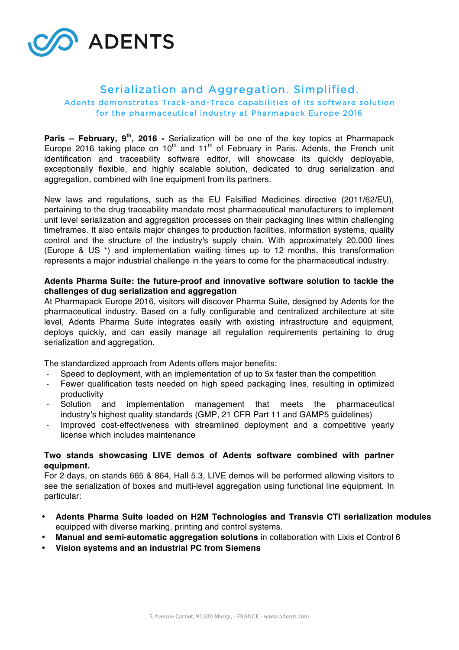

# Serialization and Aggregation. Simplified.

## Adents demonstrates Track-and-Trace capabilities of its software solution for the pharmaceutical industry at Pharmapack Europe 2016

**Paris – February, 9th, 2016 -** Serialization will be one of the key topics at Pharmapack Europe 2016 taking place on 10<sup>th</sup> and 11<sup>th</sup> of February in Paris. Adents, the French unit identification and traceability software editor, will showcase its quickly deployable, exceptionally flexible, and highly scalable solution, dedicated to drug serialization and aggregation, combined with line equipment from its partners.

New laws and regulations, such as the EU Falsified Medicines directive (2011/62/EU), pertaining to the drug traceability mandate most pharmaceutical manufacturers to implement unit level serialization and aggregation processes on their packaging lines within challenging timeframes. It also entails major changes to production facilities, information systems, quality control and the structure of the industry's supply chain. With approximately 20,000 lines (Europe & US \*) and implementation waiting times up to 12 months, this transformation represents a major industrial challenge in the years to come for the pharmaceutical industry.

# **Adents Pharma Suite: the future-proof and innovative software solution to tackle the challenges of dug serialization and aggregation**

At Pharmapack Europe 2016, visitors will discover Pharma Suite, designed by Adents for the pharmaceutical industry. Based on a fully configurable and centralized architecture at site level, Adents Pharma Suite integrates easily with existing infrastructure and equipment, deploys quickly, and can easily manage all regulation requirements pertaining to drug serialization and aggregation.

The standardized approach from Adents offers major benefits:

- Speed to deployment, with an implementation of up to 5x faster than the competition
- Fewer qualification tests needed on high speed packaging lines, resulting in optimized productivity
- Solution and implementation management that meets the pharmaceutical industry's highest quality standards (GMP, 21 CFR Part 11 and GAMP5 guidelines)
- Improved cost-effectiveness with streamlined deployment and a competitive yearly license which includes maintenance

# **Two stands showcasing LIVE demos of Adents software combined with partner equipment.**

For 2 days, on stands 665 & 864, Hall 5.3, LIVE demos will be performed allowing visitors to see the serialization of boxes and multi-level aggregation using functional line equipment. In particular:

- **Adents Pharma Suite loaded on H2M Technologies and Transvis CTI serialization modules** equipped with diverse marking, printing and control systems.
- **Manual and semi-automatic aggregation solutions** in collaboration with Lixis et Control 6
- **Vision systems and an industrial PC from Siemens**